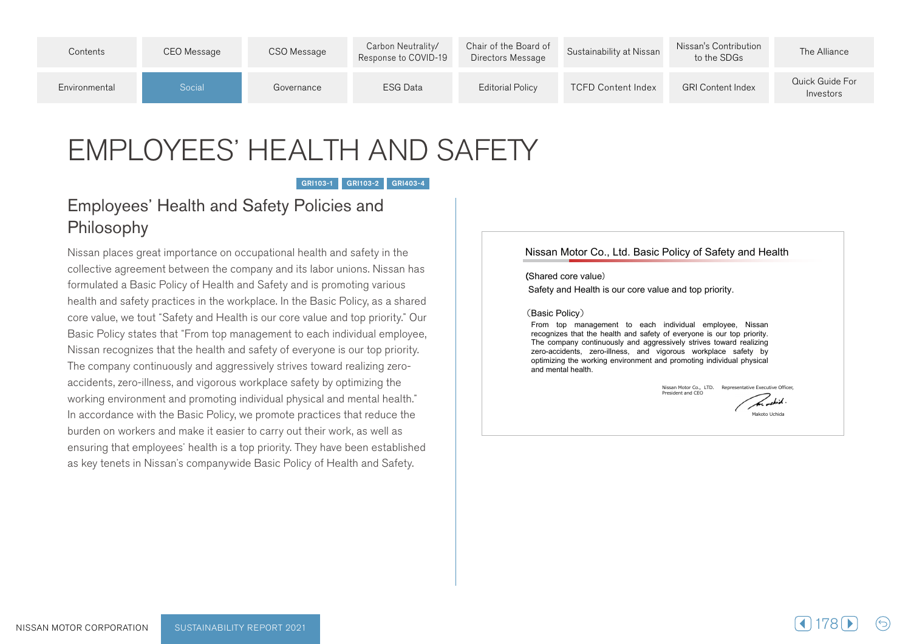| Contents      | CEO Message | CSO Message | Carbon Neutrality/<br>Response to COVID-19 | Chair of the Board of<br>Directors Message | Sustainability at Nissan  | Nissan's Contribution<br>to the SDGs | The Alliance                 |
|---------------|-------------|-------------|--------------------------------------------|--------------------------------------------|---------------------------|--------------------------------------|------------------------------|
| Environmental | Social      | Governance  | ESG Data                                   | <b>Editorial Policy</b>                    | <b>TCFD Content Index</b> | <b>GRI Content Index</b>             | Quick Guide For<br>Investors |

# EMPLOYEES' HEALTH AND SAFETY

GRI103-1 GRI103-2 GRI403-4

# **Employees' Health and Safety Policies and** Philosophy

Nissan places great importance on occupational health and safety in the collective agreement between the company and its labor unions. Nissan has formulated a Basic Policy of Health and Safety and is promoting various health and safety practices in the workplace. In the Basic Policy, as a shared core value, we tout "Safety and Health is our core value and top priority." Our Basic Policy states that "From top management to each individual employee, Nissan recognizes that the health and safety of everyone is our top priority. accidents, zero-illness, and vigorous workplace safety by optimizing the The company continuously and aggressively strives toward realizing zeroworking environment and promoting individual physical and mental health." In accordance with the Basic Policy, we promote practices that reduce the burden on workers and make it easier to carry out their work, as well as ensuring that employees' health is a top priority. They have been established as key tenets in Nissan's companywide Basic Policy of Health and Safety.

#### Nissan Motor Co., Ltd. Basic Policy of Safety and Health

(Shared core value)

Safety and Health is our core value and top priority.

#### (Basic Policy)

From top management to each individual employee, Nissan recognizes that the health and safety of everyone is our top priority. The company continuously and aggressively strives toward realizing zero-accidents, zero-illness, and vigorous workplace safety by optimizing the working environment and promoting individual physical and mental health

Nissan Motor Co., LTD. Representative Executive Officer,<br>President and CEO

Makoto Uchida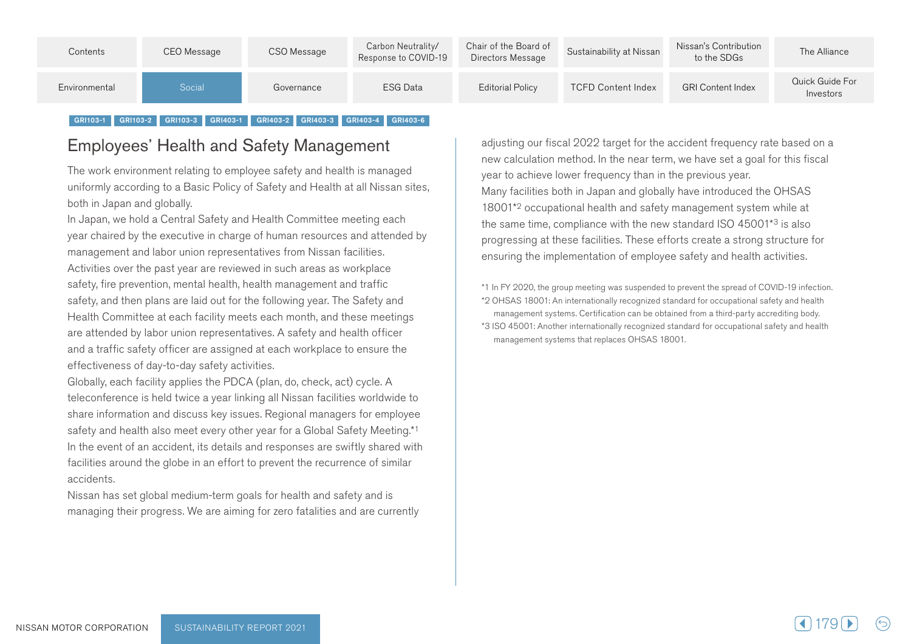| Contents      | CEO Message | CSO Message | Carbon Neutrality/<br>Response to COVID-19 | Chair of the Board of<br>Directors Message | Sustainability at Nissan  | Nissan's Contribution<br>to the SDGs | The Alliance                 |
|---------------|-------------|-------------|--------------------------------------------|--------------------------------------------|---------------------------|--------------------------------------|------------------------------|
| Environmental | Social      | Governance  | ESG Data                                   | <b>Editorial Policy</b>                    | <b>TCFD Content Index</b> | <b>GRI Content Index</b>             | Quick Guide For<br>Investors |

#### GRI103-1 GRI103-2 GRI103-3 GRI403-1 GRI403-2 GRI403-3 GRI403-4 GRI403-6

# Employees' Health and Safety Management

The work environment relating to employee safety and health is managed uniformly according to a Basic Policy of Safety and Health at all Nissan sites, both in Japan and globally.

In Japan, we hold a Central Safety and Health Committee meeting each year chaired by the executive in charge of human resources and attended by management and labor union representatives from Nissan facilities. Activities over the past vear are reviewed in such areas as workplace safety, fire prevention, mental health, health management and traffic safety, and then plans are laid out for the following year. The Safety and Health Committee at each facility meets each month, and these meetings are attended by labor union representatives. A safety and health officer and a traffic safety officer are assigned at each workplace to ensure the effectiveness of day-to-day safety activities.

Globally, each facility applies the PDCA (plan, do, check, act) cycle. A teleconference is held twice a year linking all Nissan facilities worldwide to share information and discuss key issues. Regional managers for employee safety and health also meet every other year for a Global Safety Meeting.\*1 In the event of an accident, its details and responses are swiftly shared with facilities around the globe in an effort to prevent the recurrence of similar .accidents

Nissan has set global medium-term goals for health and safety and is managing their progress. We are aiming for zero fatalities and are currently adjusting our fiscal 2022 target for the accident frequency rate based on a new calculation method. In the near term, we have set a goal for this fiscal year to achieve lower frequency than in the previous year. Many facilities both in Japan and globally have introduced the OHSAS 18001<sup>\*2</sup> occupational health and safety management system while at the same time, compliance with the new standard ISO 45001 $*3$  is also progressing at these facilities. These efforts create a strong structure for ensuring the implementation of employee safety and health activities.

\*1 In FY 2020, the group meeting was suspended to prevent the spread of COVID-19 infection. \*2 OHSAS 18001: An internationally recognized standard for occupational safety and health management systems. Certification can be obtained from a third-party accrediting body. \*3 ISO 45001: Another internationally recognized standard for occupational safety and health management systems that replaces OHSAS 18001.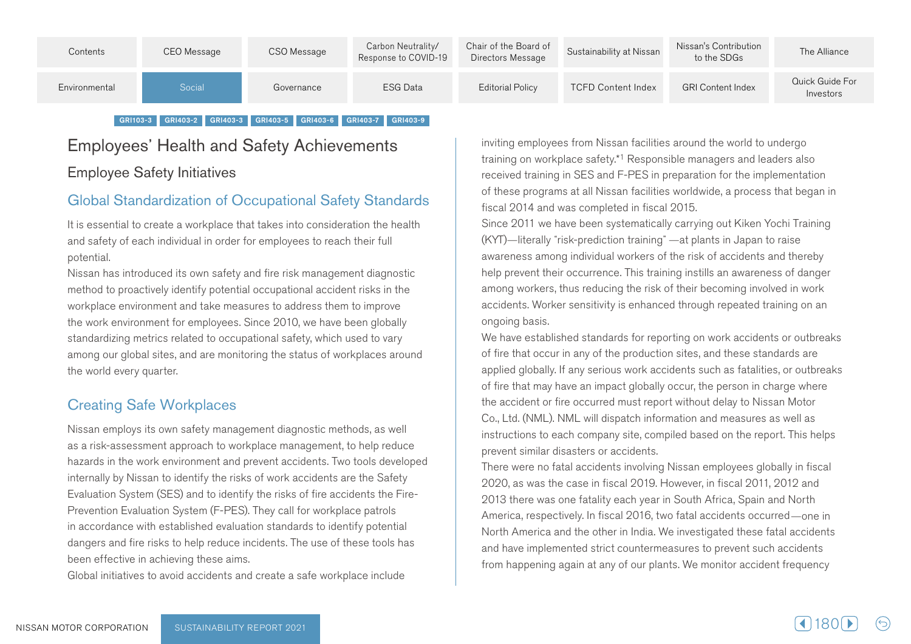| Contents      | CEO Message | CSO Message | Carbon Neutrality/<br>Response to COVID-19 | Chair of the Board of<br>Directors Message | Sustainability at Nissan  | Nissan's Contribution<br>to the SDGs | The Alliance                 |
|---------------|-------------|-------------|--------------------------------------------|--------------------------------------------|---------------------------|--------------------------------------|------------------------------|
| Environmental | Social      | Governance  | ESG Data                                   | <b>Editorial Policy</b>                    | <b>TCFD Content Index</b> | <b>GRI Content Index</b>             | Quick Guide For<br>Investors |

#### GRI103-3 GRI403-2 GRI403-3 GRI403-5 GRI403-6 GRI403-7 GRI403-9

# **Employees' Health and Safety Achievements Employee Safety Initiatives**

## Global Standardization of Occupational Safety Standards

It is essential to create a workplace that takes into consideration the health and safety of each individual in order for employees to reach their full .potential

Nissan has introduced its own safety and fire risk management diagnostic method to proactively identify potential occupational accident risks in the workplace environment and take measures to address them to improve the work environment for employees. Since 2010, we have been globally standardizing metrics related to occupational safety, which used to vary among our global sites, and are monitoring the status of workplaces around the world every quarter.

## **Creating Safe Workplaces**

Nissan employs its own safety management diagnostic methods, as well as a risk-assessment approach to workplace management, to help reduce hazards in the work environment and prevent accidents. Two tools developed internally by Nissan to identify the risks of work accidents are the Safety Prevention Evaluation System (F-PES). They call for workplace patrols Evaluation System (SES) and to identify the risks of fire accidents the Firein accordance with established evaluation standards to identify potential dangers and fire risks to help reduce incidents. The use of these tools has been effective in achieving these aims.

Global initiatives to avoid accidents and create a safe workplace include

inviting employees from Nissan facilities around the world to undergo training on workplace safety.\*1 Responsible managers and leaders also received training in SES and F-PES in preparation for the implementation of these programs at all Nissan facilities worldwide, a process that began in fiscal 2014 and was completed in fiscal 2015.

Since 2011 we have been systematically carrying out Kiken Yochi Training  $(KYT$ -literally "risk-prediction training" -at plants in Japan to raise awareness among individual workers of the risk of accidents and thereby help prevent their occurrence. This training instills an awareness of danger among workers, thus reducing the risk of their becoming involved in work accidents. Worker sensitivity is enhanced through repeated training on an ongoing basis.

We have established standards for reporting on work accidents or outbreaks of fire that occur in any of the production sites, and these standards are applied globally. If any serious work accidents such as fatalities, or outbreaks of fire that may have an impact globally occur, the person in charge where the accident or fire occurred must report without delay to Nissan Motor Co., Ltd. (NML). NML will dispatch information and measures as well as instructions to each company site, compiled based on the report. This helps prevent similar disasters or accidents.

There were no fatal accidents involving Nissan employees globally in fiscal 2020, as was the case in fiscal 2019. However, in fiscal 2011, 2012 and 2013 there was one fatality each year in South Africa, Spain and North America, respectively. In fiscal 2016, two fatal accidents occurred—one in North America and the other in India. We investigated these fatal accidents and have implemented strict countermeasures to prevent such accidents from happening again at any of our plants. We monitor accident frequency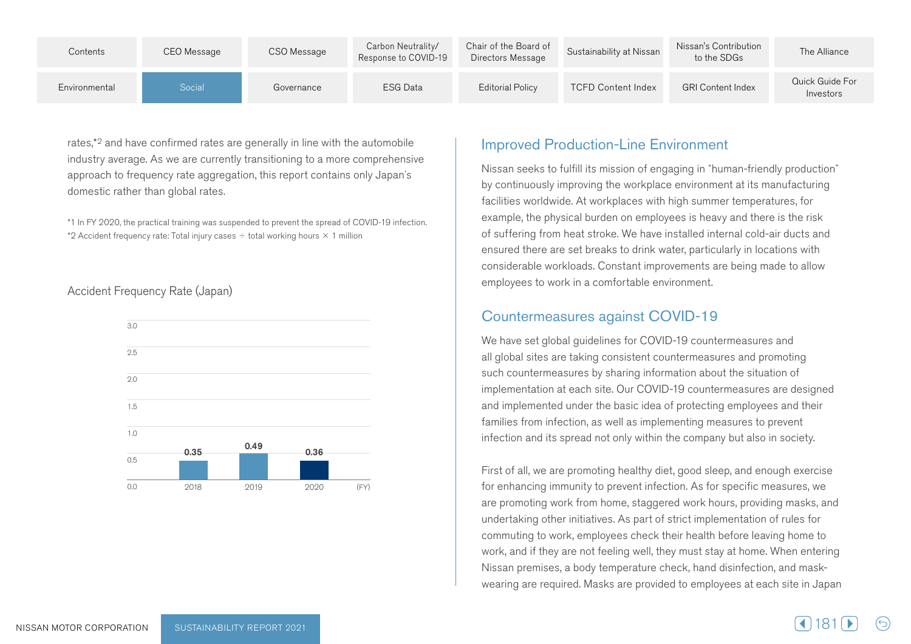| Contents      | CEO Message | CSO Message | Carbon Neutrality/<br>Response to COVID-19 | Chair of the Board of<br>Directors Message | Sustainability at Nissan  | Nissan's Contribution<br>to the SDGs | The Alliance                 |
|---------------|-------------|-------------|--------------------------------------------|--------------------------------------------|---------------------------|--------------------------------------|------------------------------|
| Environmental | Social      | Governance  | <b>ESG Data</b>                            | <b>Editorial Policy</b>                    | <b>TCFD Content Index</b> | <b>GRI Content Index</b>             | Quick Guide For<br>Investors |

rates,<sup>\*2</sup> and have confirmed rates are generally in line with the automobile industry average. As we are currently transitioning to a more comprehensive approach to frequency rate aggregation, this report contains only Japan's domestic rather than global rates.

\*1 In FY 2020, the practical training was suspended to prevent the spread of COVID-19 infection. \*2 Accident frequency rate: Total injury cases  $\div$  total working hours  $\times$  1 million

#### Accident Frequency Rate (Japan)



#### **Improved Production-Line Environment**

Nissan seeks to fulfill its mission of engaging in "human-friendly production" by continuously improving the workplace environment at its manufacturing facilities worldwide. At workplaces with high summer temperatures, for example, the physical burden on employees is heavy and there is the risk of suffering from heat stroke. We have installed internal cold-air ducts and ensured there are set breaks to drink water, particularly in locations with considerable workloads. Constant improvements are being made to allow employees to work in a comfortable environment.

#### Countermeasures against COVID-19

We have set global guidelines for COVID-19 countermeasures and all global sites are taking consistent countermeasures and promoting such countermeasures by sharing information about the situation of implementation at each site. Our COVID-19 countermeasures are designed and implemented under the basic idea of protecting employees and their families from infection, as well as implementing measures to prevent infection and its spread not only within the company but also in society.

First of all, we are promoting healthy diet, good sleep, and enough exercise for enhancing immunity to prevent infection. As for specific measures, we are promoting work from home, staggered work hours, providing masks, and undertaking other initiatives. As part of strict implementation of rules for commuting to work, employees check their health before leaving home to work, and if they are not feeling well, they must stay at home. When entering wearing are required. Masks are provided to employees at each site in Japan Nissan premises, a body temperature check, hand disinfection, and mask-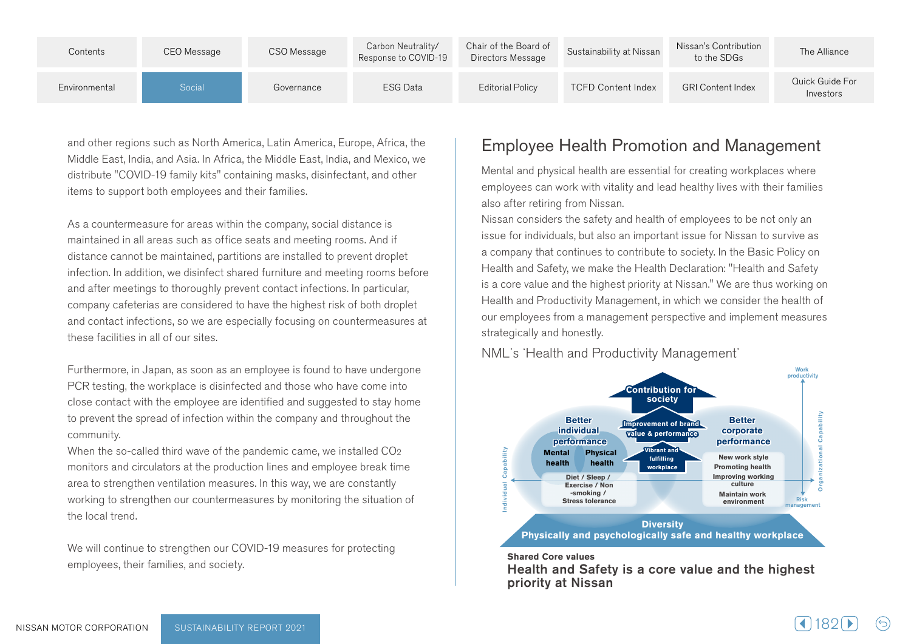| Contents      | CEO Message | CSO Message | Carbon Neutrality/<br>Response to COVID-19 | Chair of the Board of<br>Directors Message | Sustainability at Nissan  | Nissan's Contribution<br>to the SDGs | The Alliance                 |
|---------------|-------------|-------------|--------------------------------------------|--------------------------------------------|---------------------------|--------------------------------------|------------------------------|
| Environmental | Social      | Governance  | <b>ESG Data</b>                            | <b>Editorial Policy</b>                    | <b>TCFD Content Index</b> | <b>GRI Content Index</b>             | Quick Guide For<br>Investors |

and other regions such as North America, Latin America, Europe, Africa, the Middle East, India, and Asia. In Africa, the Middle East, India, and Mexico, we distribute "COVID-19 family kits" containing masks, disinfectant, and other items to support both employees and their families.

As a countermeasure for areas within the company, social distance is maintained in all areas such as office seats and meeting rooms. And if distance cannot be maintained, partitions are installed to prevent droplet infection. In addition, we disinfect shared furniture and meeting rooms before and after meetings to thoroughly prevent contact infections. In particular, company cafeterias are considered to have the highest risk of both droplet and contact infections, so we are especially focusing on countermeasures at these facilities in all of our sites.

Furthermore, in Japan, as soon as an employee is found to have undergone PCR testing, the workplace is disinfected and those who have come into close contact with the employee are identified and suggested to stay home to prevent the spread of infection within the company and throughout the .community

When the so-called third wave of the pandemic came, we installed  $CO<sub>2</sub>$ monitors and circulators at the production lines and employee break time area to strengthen ventilation measures. In this way, we are constantly working to strengthen our countermeasures by monitoring the situation of the local trend.

We will continue to strengthen our COVID-19 measures for protecting employees, their families, and society.

# Employee Health Promotion and Management

Wental and physical health are essential for creating workplaces where employees can work with vitality and lead healthy lives with their families also after retiring from Nissan.

Nissan considers the safety and health of employees to be not only an issue for individuals, but also an important issue for Nissan to survive as a company that continues to contribute to society. In the Basic Policy on Health and Safety, we make the Health Declaration: "Health and Safety is a core value and the highest priority at Nissan." We are thus working on Health and Productivity Management, in which we consider the health of our employees from a management perspective and implement measures strategically and honestly.

NML's 'Health and Productivity Management'



#### **Shared Core values**

Health and Safety is a core value and the highest priority at Nissan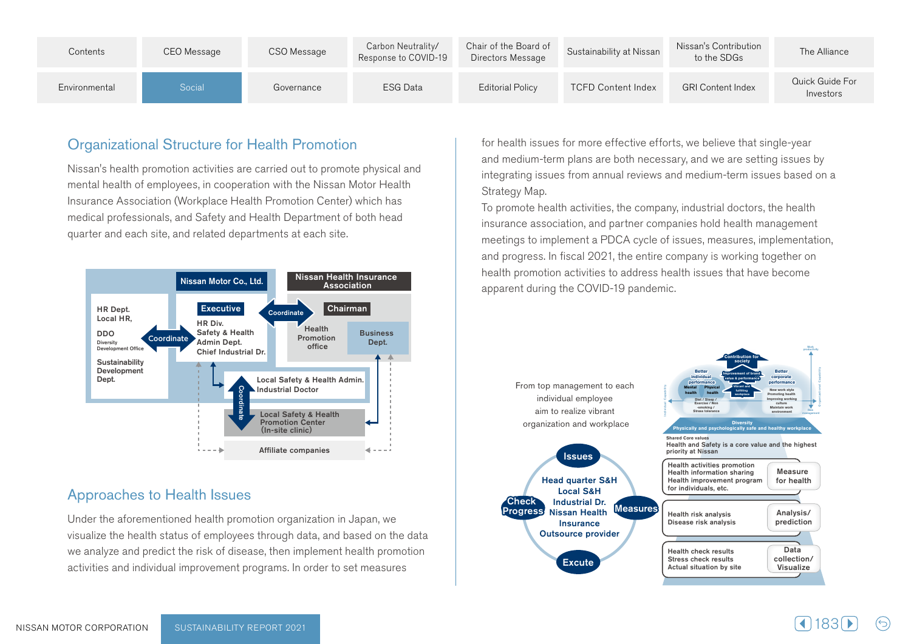| Contents      | CEO Message | CSO Message | Carbon Neutrality/<br>Response to COVID-19 | Chair of the Board of<br>Directors Message | Sustainability at Nissan  | Nissan's Contribution<br>to the SDGs | The Alliance                 |
|---------------|-------------|-------------|--------------------------------------------|--------------------------------------------|---------------------------|--------------------------------------|------------------------------|
| Environmental | Social      | Governance  | <b>ESG Data</b>                            | <b>Editorial Policy</b>                    | <b>TCFD Content Index</b> | <b>GRI Content Index</b>             | Quick Guide For<br>Investors |

## **Organizational Structure for Health Promotion**

Nissan's health promotion activities are carried out to promote physical and mental health of employees, in cooperation with the Nissan Motor Health Insurance Association (Workplace Health Promotion Center) which has medical professionals, and Safety and Health Department of both head quarter and each site, and related departments at each site.



#### Approaches to Health Issues

Under the aforementioned health promotion organization in Japan, we visualize the health status of employees through data, and based on the data we analyze and predict the risk of disease, then implement health promotion activities and individual improvement programs. In order to set measures

for health issues for more effective efforts, we believe that single-year and medium-term plans are both necessary, and we are setting issues by integrating issues from annual reviews and medium-term issues based on a Strategy Map.

To promote health activities, the company, industrial doctors, the health insurance association, and partner companies hold health management meetings to implement a PDCA cycle of issues, measures, implementation, and progress. In fiscal 2021, the entire company is working together on health promotion activities to address health issues that have become apparent during the COVID-19 pandemic.

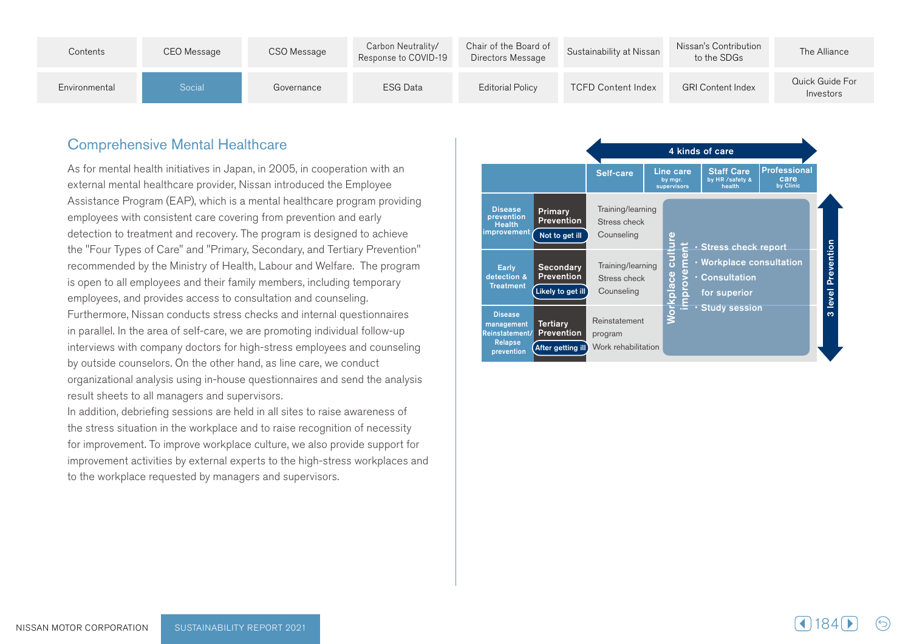| Contents      | CEO Message | CSO Message | Carbon Neutrality/<br>Response to COVID-19 | Chair of the Board of<br>Directors Message | Sustainability at Nissan  | Nissan's Contribution<br>to the SDGs | The Alliance                 |
|---------------|-------------|-------------|--------------------------------------------|--------------------------------------------|---------------------------|--------------------------------------|------------------------------|
| Environmental | Social      | Governance  | <b>ESG Data</b>                            | <b>Editorial Policy</b>                    | <b>TCFD Content Index</b> | <b>GRI Content Index</b>             | Quick Guide For<br>Investors |

#### **Comprehensive Mental Healthcare**

As for mental health initiatives in Japan, in 2005, in cooperation with an external mental healthcare provider, Nissan introduced the Employee Assistance Program (EAP), which is a mental healthcare program providing employees with consistent care covering from prevention and early detection to treatment and recovery. The program is designed to achieve the "Four Types of Care" and "Primary, Secondary, and Tertiary Prevention" recommended by the Ministry of Health, Labour and Welfare. The program is open to all employees and their family members, including temporary employees, and provides access to consultation and counseling. Furthermore, Nissan conducts stress checks and internal questionnaires in parallel. In the area of self-care, we are promoting individual follow-up interviews with company doctors for high-stress employees and counseling by outside counselors. On the other hand, as line care, we conduct organizational analysis using in-house questionnaires and send the analysis result sheets to all managers and supervisors.

In addition, debriefing sessions are held in all sites to raise awareness of the stress situation in the workplace and to raise recognition of necessity for improvement. To improve workplace culture, we also provide support for improvement activities by external experts to the high-stress workplaces and to the workplace requested by managers and supervisors.